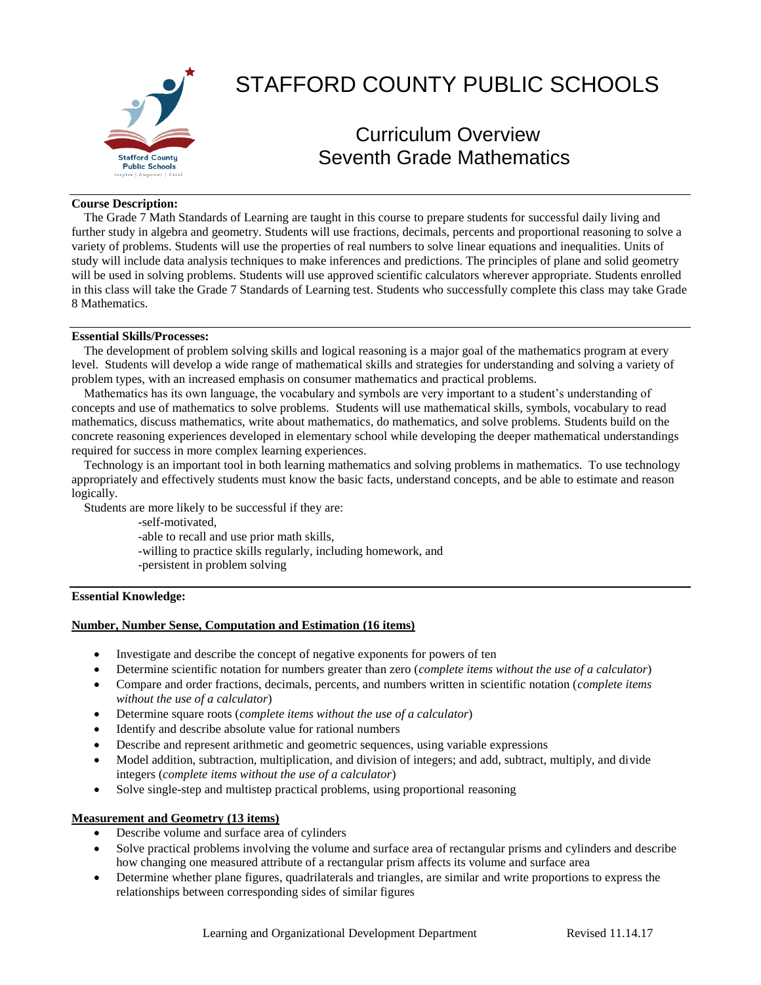

# STAFFORD COUNTY PUBLIC SCHOOLS

# Curriculum Overview Seventh Grade Mathematics

#### **Course Description:**

 The Grade 7 Math Standards of Learning are taught in this course to prepare students for successful daily living and further study in algebra and geometry. Students will use fractions, decimals, percents and proportional reasoning to solve a variety of problems. Students will use the properties of real numbers to solve linear equations and inequalities. Units of study will include data analysis techniques to make inferences and predictions. The principles of plane and solid geometry will be used in solving problems. Students will use approved scientific calculators wherever appropriate. Students enrolled in this class will take the Grade 7 Standards of Learning test. Students who successfully complete this class may take Grade 8 Mathematics.

## **Essential Skills/Processes:**

 The development of problem solving skills and logical reasoning is a major goal of the mathematics program at every level. Students will develop a wide range of mathematical skills and strategies for understanding and solving a variety of problem types, with an increased emphasis on consumer mathematics and practical problems.

 Mathematics has its own language, the vocabulary and symbols are very important to a student's understanding of concepts and use of mathematics to solve problems. Students will use mathematical skills, symbols, vocabulary to read mathematics, discuss mathematics, write about mathematics, do mathematics, and solve problems. Students build on the concrete reasoning experiences developed in elementary school while developing the deeper mathematical understandings required for success in more complex learning experiences.

 Technology is an important tool in both learning mathematics and solving problems in mathematics. To use technology appropriately and effectively students must know the basic facts, understand concepts, and be able to estimate and reason logically.

Students are more likely to be successful if they are:

-self-motivated,

-able to recall and use prior math skills,

-willing to practice skills regularly, including homework, and

-persistent in problem solving

### **Essential Knowledge:**

### **Number, Number Sense, Computation and Estimation (16 items)**

- Investigate and describe the concept of negative exponents for powers of ten
- Determine scientific notation for numbers greater than zero (*complete items without the use of a calculator*)
- Compare and order fractions, decimals, percents, and numbers written in scientific notation (*complete items without the use of a calculator*)
- Determine square roots (*complete items without the use of a calculator*)
- Identify and describe absolute value for rational numbers
- Describe and represent arithmetic and geometric sequences, using variable expressions
- Model addition, subtraction, multiplication, and division of integers; and add, subtract, multiply, and divide integers (*complete items without the use of a calculator*)
- Solve single-step and multistep practical problems, using proportional reasoning

#### **Measurement and Geometry (13 items)**

- Describe volume and surface area of cylinders
- Solve practical problems involving the volume and surface area of rectangular prisms and cylinders and describe how changing one measured attribute of a rectangular prism affects its volume and surface area
- Determine whether plane figures, quadrilaterals and triangles, are similar and write proportions to express the relationships between corresponding sides of similar figures